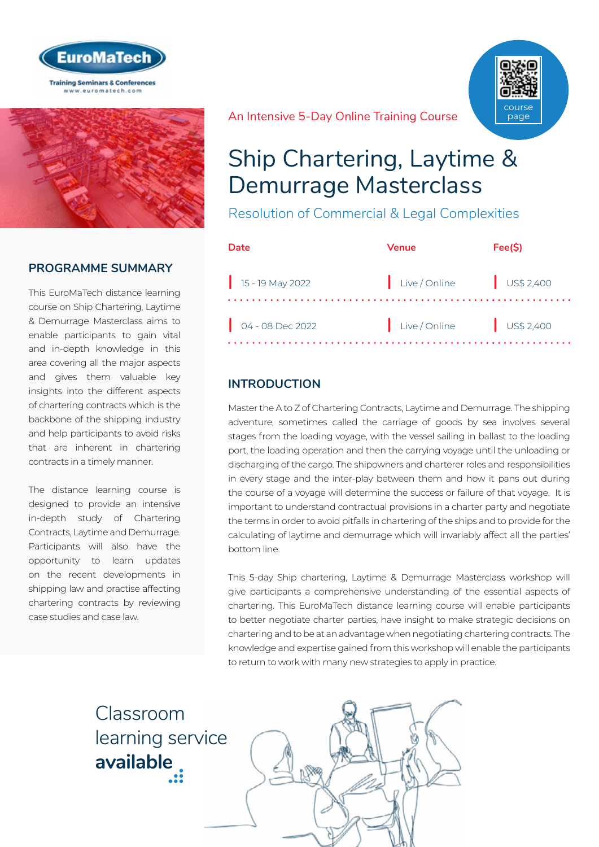



## **PROGRAMME SUMMARY**

This EuroMaTech distance learning course on Ship Chartering, Laytime & Demurrage Masterclass aims to enable participants to gain vital and in-depth knowledge in this area covering all the major aspects and gives them valuable key insights into the different aspects of chartering contracts which is the backbone of the shipping industry and help participants to avoid risks that are inherent in chartering contracts in a timely manner.

The distance learning course is designed to provide an intensive in-depth study of Chartering Contracts, Laytime and Demurrage. Participants will also have the opportunity to learn updates on the recent developments in shipping law and practise affecting chartering contracts by reviewing case studies and case law.

An Intensive 5-Day Online Training Course



# Ship Chartering, Laytime & Demurrage Masterclass

Resolution of Commercial & Legal Complexities

| Date                         | Venue                    | Fee(S) |
|------------------------------|--------------------------|--------|
| $\frac{1}{15}$ - 19 May 2022 | Live/Online US\$ 2,400   |        |
| $04 - 08$ Dec 2022           | Live / Online US\$ 2,400 |        |

## **INTRODUCTION**

Master the A to Z of Chartering Contracts, Laytime and Demurrage. The shipping adventure, sometimes called the carriage of goods by sea involves several stages from the loading voyage, with the vessel sailing in ballast to the loading port, the loading operation and then the carrying voyage until the unloading or discharging of the cargo. The shipowners and charterer roles and responsibilities in every stage and the inter-play between them and how it pans out during the course of a voyage will determine the success or failure of that voyage. It is important to understand contractual provisions in a charter party and negotiate the terms in order to avoid pitfalls in chartering of the ships and to provide for the calculating of laytime and demurrage which will invariably affect all the parties' bottom line.

This 5-day Ship chartering, Laytime & Demurrage Masterclass workshop will give participants a comprehensive understanding of the essential aspects of chartering. This EuroMaTech distance learning course will enable participants to better negotiate charter parties, have insight to make strategic decisions on chartering and to be at an advantage when negotiating chartering contracts. The knowledge and expertise gained from this workshop will enable the participants to return to work with many new strategies to apply in practice.

Classroom [learning service](https://www.euromatech.com/seminars/ship-chartering-laytime-demurrage-masterclass)  **available**

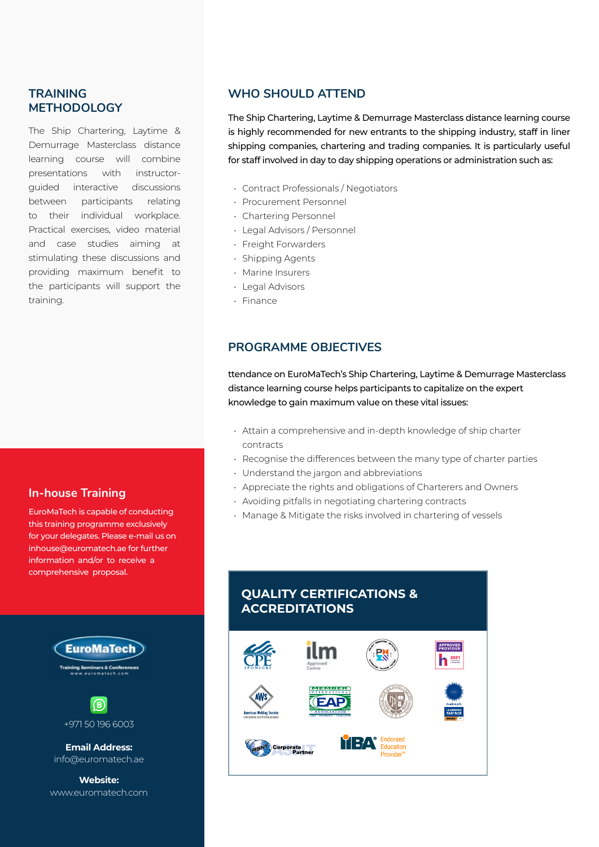#### **TRAINING METHODOLOGY**

The Ship Chartering, Laytime & Demurrage Masterclass distance learning course will combine presentations with instructorguided interactive discussions between participants relating to their individual workplace. Practical exercises, video material and case studies aiming at stimulating these discussions and providing maximum benefit to the participants will support the training.

#### **In-house Training**

EuroMaTech is capable of conducting this training programme exclusively for your delegates. Please e-mail us on inhouse@euromatech.ae for further information and/or to receive a comprehensive proposal.



**Website:** www.euromatech.com

#### **WHO SHOULD ATTEND**

The Ship Chartering, Laytime & Demurrage Masterclass distance learning course is highly recommended for new entrants to the shipping industry, staff in liner shipping companies, chartering and trading companies. It is particularly useful for staff involved in day to day shipping operations or administration such as:

- Contract Professionals / Negotiators
- Procurement Personnel
- Chartering Personnel
- Legal Advisors / Personnel
- Freight Forwarders
- Shipping Agents
- Marine Insurers
- Legal Advisors
- Finance

#### **PROGRAMME OBJECTIVES**

ttendance on EuroMaTech's Ship Chartering, Laytime & Demurrage Masterclass distance learning course helps participants to capitalize on the expert knowledge to gain maximum value on these vital issues:

- Attain a comprehensive and in-depth knowledge of ship charter contracts
- Recognise the differences between the many type of charter parties
- Understand the jargon and abbreviations
- Appreciate the rights and obligations of Charterers and Owners
- Avoiding pitfalls in negotiating chartering contracts
- Manage & Mitigate the risks involved in chartering of vessels

#### **QUALITY CERTIFICATIONS & ACCREDITATIONS**

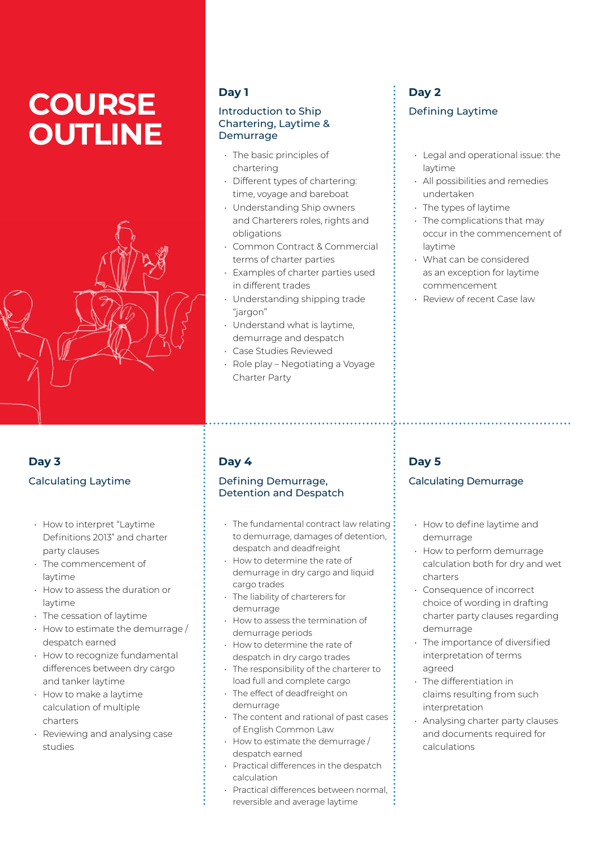# **COURSE OUTLINE**



## **Day 3** Calculating Laytime

- How to interpret "Laytime Definitions 2013" and charter party clauses
- The commencement of laytime
- How to assess the duration or laytime
- The cessation of laytime
- How to estimate the demurrage / despatch earned
- How to recognize fundamental differences between dry cargo and tanker laytime
- How to make a laytime calculation of multiple charters
- Reviewing and analysing case studies

## **Day 1**

#### Introduction to Ship Chartering, Laytime & Demurrage

- The basic principles of chartering
- Different types of chartering: time, voyage and bareboat
- Understanding Ship owners and Charterers roles, rights and obligations
- Common Contract & Commercial terms of charter parties
- Examples of charter parties used in different trades
- Understanding shipping trade "jargon"
- Understand what is laytime, demurrage and despatch
- Case Studies Reviewed
- Role play Negotiating a Voyage Charter Party

## **Day 2** Defining Laytime

- Legal and operational issue: the laytime
- All possibilities and remedies undertaken
- The types of laytime
- The complications that may occur in the commencement of laytime
- What can be considered as an exception for laytime commencement
- Review of recent Case law

## **Day 4**

#### Defining Demurrage, Detention and Despatch

- The fundamental contract law relating to demurrage, damages of detention, despatch and deadfreight
- How to determine the rate of demurrage in dry cargo and liquid cargo trades
- The liability of charterers for demurrage
- How to assess the termination of demurrage periods
- How to determine the rate of despatch in dry cargo trades
- The responsibility of the charterer to load full and complete cargo
- The effect of deadfreight on demurrage
- The content and rational of past cases of English Common Law
- How to estimate the demurrage / despatch earned
- Practical differences in the despatch calculation
- Practical differences between normal reversible and average laytime

## **Day 5**

## Calculating Demurrage

- How to define laytime and demurrage
- How to perform demurrage calculation both for dry and wet charters
- Consequence of incorrect choice of wording in drafting charter party clauses regarding demurrage
- The importance of diversified interpretation of terms agreed
- The differentiation in claims resulting from such interpretation
- Analysing charter party clauses and documents required for calculations